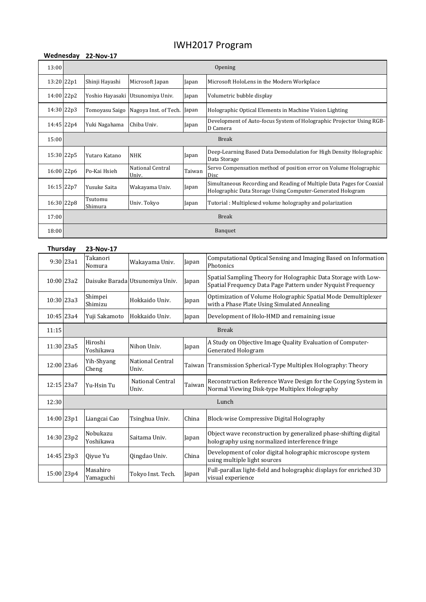## IWH2017 Program

| Wednesday  |              | 22-Nov-17          |                           |        |                                                                                                                                     |  |
|------------|--------------|--------------------|---------------------------|--------|-------------------------------------------------------------------------------------------------------------------------------------|--|
| 13:00      | Opening      |                    |                           |        |                                                                                                                                     |  |
| 13:20 22p1 |              | Shinji Hayashi     | Microsoft Japan           | Japan  | Microsoft HoloLens in the Modern Workplace                                                                                          |  |
| 14:00 22p2 |              | Yoshio Hayasaki    | Utsunomiya Univ.          | Japan  | Volumetric bubble display                                                                                                           |  |
| 14:30 22p3 |              | Tomoyasu Saigo     | Nagoya Inst. of Tech.     | Japan  | Holographic Optical Elements in Machine Vision Lighting                                                                             |  |
| 14:45 22p4 |              | Yuki Nagahama      | Chiba Univ.               | Japan  | Development of Auto-focus System of Holographic Projector Using RGB-<br>D Camera                                                    |  |
| 15:00      | <b>Break</b> |                    |                           |        |                                                                                                                                     |  |
| 15:30 22p5 |              | Yutaro Katano      | <b>NHK</b>                | Japan  | Deep-Learning Based Data Demodulation for High Density Holographic<br>Data Storage                                                  |  |
| 16:00 22p6 |              | Po-Kai Hsieh       | National Central<br>Univ. | Taiwan | Servo Compensation method of position error on Volume Holographic<br>Disc                                                           |  |
| 16:15 22p7 |              | Yusuke Saita       | Wakayama Univ.            | Japan  | Simultaneous Recording and Reading of Multiple Data Pages for Coaxial<br>Holographic Data Storage Using Computer-Generated Hologram |  |
| 16:30 22p8 |              | Tsutomu<br>Shimura | Univ. Tokyo               | Japan  | Tutorial: Multiplexed volume holography and polarization                                                                            |  |
| 17:00      | <b>Break</b> |                    |                           |        |                                                                                                                                     |  |
| 18:00      | Banquet      |                    |                           |        |                                                                                                                                     |  |

| <b>Thursday</b> |            | 23-Nov-17             |                                 |        |                                                                                                                               |  |
|-----------------|------------|-----------------------|---------------------------------|--------|-------------------------------------------------------------------------------------------------------------------------------|--|
|                 | 9:30 23a1  | Takanori<br>Nomura    | Wakayama Univ.                  | Japan  | Computational Optical Sensing and Imaging Based on Information<br>Photonics                                                   |  |
| 10:00 23a2      |            |                       | Daisuke Barada Utsunomiya Univ. | Japan  | Spatial Sampling Theory for Holographic Data Storage with Low-<br>Spatial Frequency Data Page Pattern under Nyquist Frequency |  |
| 10:30 23a3      |            | Shimpei<br>Shimizu    | Hokkaido Univ.                  | Japan  | Optimization of Volume Holographic Spatial Mode Demultiplexer<br>with a Phase Plate Using Simulated Annealing                 |  |
| 10:45 23a4      |            | Yuji Sakamoto         | Hokkaido Univ.                  | Japan  | Development of Holo-HMD and remaining issue                                                                                   |  |
| 11:15           |            |                       |                                 |        | <b>Break</b>                                                                                                                  |  |
| 11:30 23a5      |            | Hiroshi<br>Yoshikawa  | Nihon Univ.                     | Japan  | A Study on Objective Image Quality Evaluation of Computer-<br><b>Generated Hologram</b>                                       |  |
| 12:00 23a6      |            | Yih-Shyang<br>Cheng   | National Central<br>Univ.       | Taiwan | Transmission Spherical-Type Multiplex Holography: Theory                                                                      |  |
| 12:15 23a7      |            | Yu-Hsin Tu            | National Central<br>Univ.       | Taiwan | Reconstruction Reference Wave Design for the Copying System in<br>Normal Viewing Disk-type Multiplex Holography               |  |
| 12:30           | Lunch      |                       |                                 |        |                                                                                                                               |  |
| 14:00 23p1      |            | Liangcai Cao          | Tsinghua Univ.                  | China  | Block-wise Compressive Digital Holography                                                                                     |  |
| 14:30 23p2      |            | Nobukazu<br>Yoshikawa | Saitama Univ.                   | Japan  | Object wave reconstruction by generalized phase-shifting digital<br>holography using normalized interference fringe           |  |
|                 | 14:45 23p3 | Oivue Yu              | Qingdao Univ.                   | China  | Development of color digital holographic microscope system<br>using multiple light sources                                    |  |
| 15:00 23p4      |            | Masahiro<br>Yamaguchi | Tokyo Inst. Tech.               | Japan  | Full-parallax light-field and holographic displays for enriched 3D<br>visual experience                                       |  |